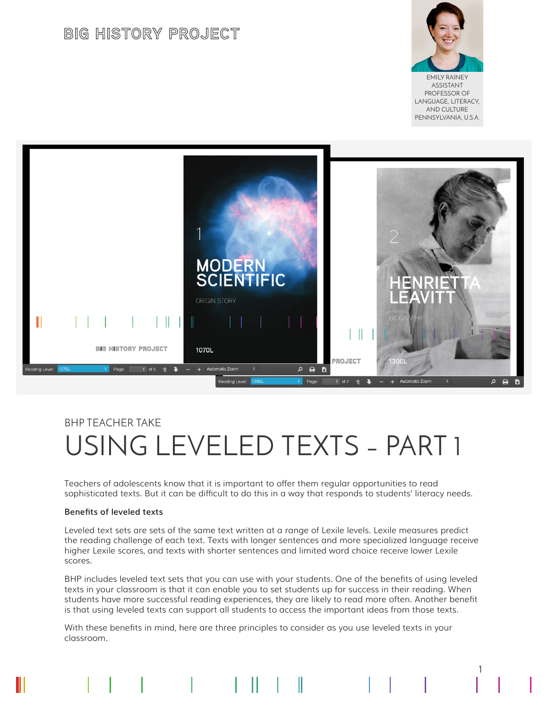# **BIG HISTORY PROJECT**



EMILY RAINEY ASSISTANT PROFESSOR OF LANGUAGE, LITERACY, AND CULTURE PENNSYLVANIA, U.S.A.

1



# BHP TEACHER TAKE USING LEVELED TEXTS – PART 1

Teachers of adolescents know that it is important to offer them regular opportunities to read sophisticated texts. But it can be difficult to do this in a way that responds to students' literacy needs.

### **Benefits of leveled texts**

Leveled text sets are sets of the same text written at a range of Lexile levels. Lexile measures predict the reading challenge of each text. Texts with longer sentences and more specialized language receive higher Lexile scores, and texts with shorter sentences and limited word choice receive lower Lexile scores.

BHP includes leveled text sets that you can use with your students. One of the benefits of using leveled texts in your classroom is that it can enable you to set students up for success in their reading. When students have more successful reading experiences, they are likely to read more often. Another benefit is that using leveled texts can support all students to access the important ideas from those texts.

With these benefits in mind, here are three principles to consider as you use leveled texts in your classroom.

 $\mathbb{I}$